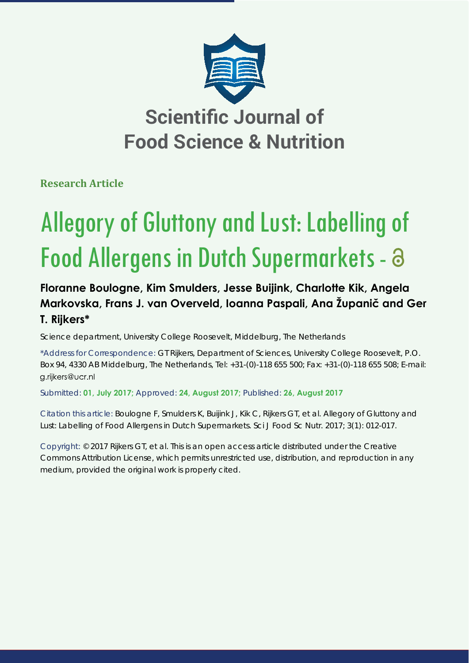

**Research Article**

# Allegory of Gluttony and Lust: Labelling of Food Allergens in Dutch Supermarkets - a

## **Floranne Boulogne, Kim Smulders, Jesse Buijink, Charlotte Kik, Angela Markovska, Frans J. van Overveld, Ioanna Paspali, Ana Županič and Ger T. Rijkers\***

Science department, University College Roosevelt, Middelburg, The Netherlands

\*Address for Correspondence: GT Rijkers, Department of Sciences, University College Roosevelt, P.O. Box 94, 4330 AB Middelburg, The Netherlands, Tel: +31-(0)-118 655 500; Fax: +31-(0)-118 655 508; E-mail: g.rijkers@ucr.nl

Submitted: **01, July 2017;** Approved: **24, August 2017;** Published: **26, August 2017**

Citation this article: Boulogne F, Smulders K, Buijink J, Kik C, Rijkers GT, et al. Allegory of Gluttony and Lust: Labelling of Food Allergens in Dutch Supermarkets. Sci J Food Sc Nutr. 2017; 3(1): 012-017.

Copyright: © 2017 Rijkers GT, et al. This is an open access article distributed under the Creative Commons Attribution License, which permits unrestricted use, distribution, and reproduction in any medium, provided the original work is properly cited.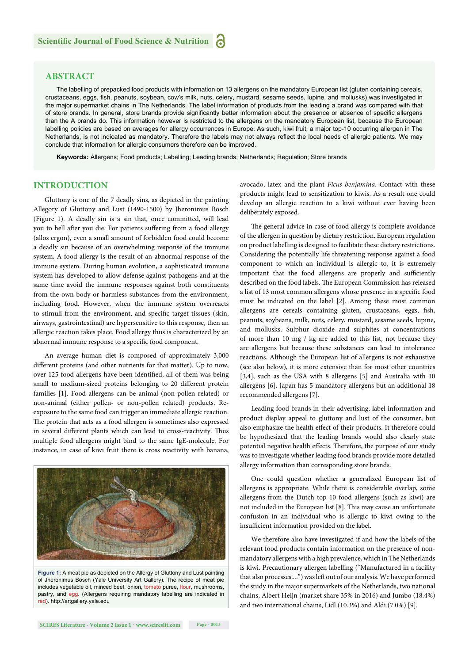#### **ABSTRACT**

The labelling of prepacked food products with information on 13 allergens on the mandatory European list (gluten containing cereals, crustaceans, eggs, fish, peanuts, soybean, cow's milk, nuts, celery, mustard, sesame seeds, lupine, and mollusks) was investigated in the major supermarket chains in The Netherlands. The label information of products from the leading a brand was compared with that of store brands. In general, store brands provide significantly better information about the presence or absence of specific allergens than the A brands do. This information however is restricted to the allergens on the mandatory European list, because the European labelling policies are based on averages for allergy occurrences in Europe. As such, kiwi fruit, a major top-10 occurring allergen in The Netherlands, is not indicated as mandatory. Therefore the labels may not always reflect the local needs of allergic patients. We may conclude that information for allergic consumers therefore can be improved.

**Keywords:** Allergens; Food products; Labelling; Leading brands; Netherlands; Regulation; Store brands

#### **INTRODUCTION**

Gluttony is one of the 7 deadly sins, as depicted in the painting Allegory of Gluttony and Lust (1490-1500) by Jheronimus Bosch (Figure 1). A deadly sin is a sin that, once committed, will lead you to hell after you die. For patients suffering from a food allergy (allos ergon), even a small amount of forbidden food could become a deadly sin because of an overwhelming response of the immune system. A food allergy is the result of an abnormal response of the immune system. During human evolution, a sophisticated immune system has developed to allow defense against pathogens and at the same time avoid the immune responses against both constituents from the own body or harmless substances from the environment, including food. However, when the immune system overreacts to stimuli from the environment, and specific target tissues (skin, airways, gastrointestinal) are hypersensitive to this response, then an allergic reaction takes place. Food allergy thus is characterized by an abnormal immune response to a specific food component.

An average human diet is composed of approximately 3,000 different proteins (and other nutrients for that matter). Up to now, over 125 food allergens have been identified, all of them was being small to medium-sized proteins belonging to 20 different protein families [1]. Food allergens can be animal (non-pollen related) or non-animal (either pollen- or non-pollen related) products. Reexposure to the same food can trigger an immediate allergic reaction. The protein that acts as a food allergen is sometimes also expressed in several different plants which can lead to cross-reactivity. Thus multiple food allergens might bind to the same IgE-molecule. For instance, in case of kiwi fruit there is cross reactivity with banana,



**Figure 1:** A meat pie as depicted on the Allergy of Gluttony and Lust painting of Jheronimus Bosch (Yale University Art Gallery). The recipe of meat pie includes vegetable oil, minced beef, onion, tomato puree, flour, mushrooms, pastry, and egg. (Allergens requiring mandatory labelling are indicated in red). http://artgallery.yale.edu

avocado, latex and the plant *Ficus benjamina*. Contact with these products might lead to sensitization to kiwis. As a result one could develop an allergic reaction to a kiwi without ever having been deliberately exposed.

The general advice in case of food allergy is complete avoidance of the allergen in question by dietary restriction. European regulation on product labelling is designed to facilitate these dietary restrictions. Considering the potentially life threatening response against a food component to which an individual is allergic to, it is extremely important that the food allergens are properly and sufficiently described on the food labels. The European Commission has released a list of 13 most common allergens whose presence in a specific food must be indicated on the label [2]. Among these most common allergens are cereals containing gluten, crustaceans, eggs, fish, peanuts, soybeans, milk, nuts, celery, mustard, sesame seeds, lupine, and mollusks. Sulphur dioxide and sulphites at concentrations of more than 10 mg / kg are added to this list, not because they are allergens but because these substances can lead to intolerance reactions. Although the European list of allergens is not exhaustive (see also below), it is more extensive than for most other countries [3,4], such as the USA with 8 allergens [5] and Australia with 10 allergens [6]. Japan has 5 mandatory allergens but an additional 18 recommended allergens [7].

Leading food brands in their advertising, label information and product display appeal to gluttony and lust of the consumer, but also emphasize the health effect of their products. It therefore could be hypothesized that the leading brands would also clearly state potential negative health effects. Therefore, the purpose of our study was to investigate whether leading food brands provide more detailed allergy information than corresponding store brands.

One could question whether a generalized European list of allergens is appropriate. While there is considerable overlap, some allergens from the Dutch top 10 food allergens (such as kiwi) are not included in the European list [8]. This may cause an unfortunate confusion in an individual who is allergic to kiwi owing to the insufficient information provided on the label.

We therefore also have investigated if and how the labels of the relevant food products contain information on the presence of nonmandatory allergens with a high prevalence, which in The Netherlands is kiwi. Precautionary allergen labelling ("Manufactured in a facility that also processes....") was left out of our analysis. We have performed the study in the major supermarkets of the Netherlands, two national chains, Albert Heijn (market share 35% in 2016) and Jumbo (18.4%) and two international chains, Lidl (10.3%) and Aldi (7.0%) [9].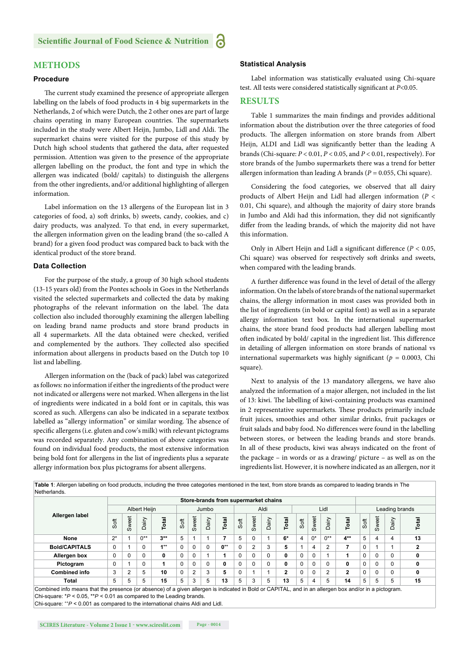### **METHODS**

#### **Procedure**

The current study examined the presence of appropriate allergen labelling on the labels of food products in 4 big supermarkets in the Netherlands, 2 of which were Dutch, the 2 other ones are part of large chains operating in many European countries. The supermarkets included in the study were Albert Heijn, Jumbo, Lidl and Aldi. The supermarket chains were visited for the purpose of this study by Dutch high school students that gathered the data, after requested permission. Attention was given to the presence of the appropriate allergen labelling on the product, the font and type in which the allergen was indicated (bold/ capitals) to distinguish the allergens from the other ingredients, and/or additional highlighting of allergen information.

Label information on the 13 allergens of the European list in 3 categories of food, a) soft drinks, b) sweets, candy, cookies, and c) dairy products, was analyzed. To that end, in every supermarket, the allergen information given on the leading brand (the so-called A brand) for a given food product was compared back to back with the identical product of the store brand.

#### **Data Collection**

For the purpose of the study, a group of 30 high school students (13-15 years old) from the Pontes schools in Goes in the Netherlands visited the selected supermarkets and collected the data by making photographs of the relevant information on the label. The data collection also included thoroughly examining the allergen labelling on leading brand name products and store brand products in all 4 supermarkets. All the data obtained were checked, verified and complemented by the authors. They collected also specified information about allergens in products based on the Dutch top 10 list and labelling.

Allergen information on the (back of pack) label was categorized as follows: no information if either the ingredients of the product were not indicated or allergens were not marked. When allergens in the list of ingredients were indicated in a bold font or in capitals, this was scored as such. Allergens can also be indicated in a separate textbox labelled as "allergy information" or similar wording. The absence of specific allergens (i.e. gluten and cow's milk) with relevant pictograms was recorded separately. Any combination of above categories was found on individual food products, the most extensive information being bold font for allergens in the list of ingredients plus a separate allergy information box plus pictograms for absent allergens.

#### **Statistical Analysis**

Label information was statistically evaluated using Chi-square test. All tests were considered statistically significant at *P*<0.05.

#### **RESULTS**

Table 1 summarizes the main findings and provides additional information about the distribution over the three categories of food products. The allergen information on store brands from Albert Heijn, ALDI and Lidl was significantly better than the leading A brands (Chi-square: *P* < 0.01, *P* < 0.05, and *P* < 0.01, respectively). For store brands of the Jumbo supermarkets there was a trend for better allergen information than leading A brands (*P* = 0.055, Chi square).

Considering the food categories, we observed that all dairy products of Albert Heijn and Lidl had allergen information (*P* < 0.01, Chi square), and although the majority of dairy store brands in Jumbo and Aldi had this information, they did not significantly differ from the leading brands, of which the majority did not have this information.

Only in Albert Heijn and Lidl a significant difference ( $P < 0.05$ , Chi square) was observed for respectively soft drinks and sweets, when compared with the leading brands.

A further difference was found in the level of detail of the allergy information. On the labels of store brands of the national supermarket chains, the allergy information in most cases was provided both in the list of ingredients (in bold or capital font) as well as in a separate allergy information text box. In the international supermarket chains, the store brand food products had allergen labelling most often indicated by bold/ capital in the ingredient list. This difference in detailing of allergen information on store brands of national vs international supermarkets was highly significant ( $p = 0.0003$ , Chi square).

Next to analysis of the 13 mandatory allergens, we have also analyzed the information of a major allergen, not included in the list of 13: kiwi. The labelling of kiwi-containing products was examined in 2 representative supermarkets. These products primarily include fruit juices, smoothies and other similar drinks, fruit packages or fruit salads and baby food. No differences were found in the labelling between stores, or between the leading brands and store brands. In all of these products, kiwi was always indicated on the front of the package – in words or as a drawing/ picture – as well as on the ingredients list. However, it is nowhere indicated as an allergen, nor it

| Allergen label       | Store-brands from supermarket chains |          |           |          |          |                |       |              |          |                |       |              |          |          |       |              |                |       |      |              |
|----------------------|--------------------------------------|----------|-----------|----------|----------|----------------|-------|--------------|----------|----------------|-------|--------------|----------|----------|-------|--------------|----------------|-------|------|--------------|
|                      | Albert Heijn                         |          |           |          | Jumbo    |                |       |              | Aldi     |                |       |              | Lidl     |          |       |              | Leading brands |       |      |              |
|                      | Soft                                 | Sweet    | airy<br>ő | Total    | Soft     | Sweet          | Dairy | Total        | Soft     | Sweet          | Dairy | otal         | Soft     | Sweet    | Dairy | Total        | Soft           | Sweet | airy | Total        |
| None                 | $2^*$                                |          | $0**$     | $3***$   | 5        |                |       |              | 5        |                |       | 6*           | 4        | $0^*$    | $0**$ | $4**$        | 5              | 4     | 4    | 13           |
| <b>Bold/CAPITALS</b> | $\Omega$                             |          | $\Omega$  | $1^{++}$ | $\Omega$ | $\Omega$       |       | $0^{++}$     | $\Omega$ | $\mathfrak{p}$ | 3     | 5            |          | 4        | 2     | 7            | 0              |       |      | $\mathbf{2}$ |
| Allergen box         | $\Omega$                             | $\Omega$ | 0         | 0        | $\Omega$ | 0              |       |              | $\Omega$ | $\Omega$       |       | 0            | $\Omega$ | $\Omega$ |       |              | 0              | 0     |      | 0            |
| Pictogram            | $\Omega$                             |          | $\Omega$  |          | $\Omega$ | $\Omega$       |       | $\mathbf{0}$ | $\Omega$ |                |       | 0            | $\Omega$ | $\Omega$ |       | 0            | 0              | 0     |      | 0            |
| <b>Combined info</b> | 3                                    | 2        | 5         | 10       |          | $\overline{2}$ | 3     | 5            | 0        |                |       | $\mathbf{2}$ | $\Omega$ | $\Omega$ | 2     | $\mathbf{2}$ | 0              | 0     |      | 0            |
| <b>Total</b>         | 5                                    | 5        | 5         | 15       | 5        | 3              | 5     | 13           | 5        | 3              | 5     | 13           | 5        | 4        | 5     | 14           | 5              | 5     | 5    | 15           |

Chi-square: \**P* < 0.05, \*\**P* < 0.01 as compared to the Leading brands. Chi-square:  $+P < 0.001$  as compared to the international chains Aldi and Lidl.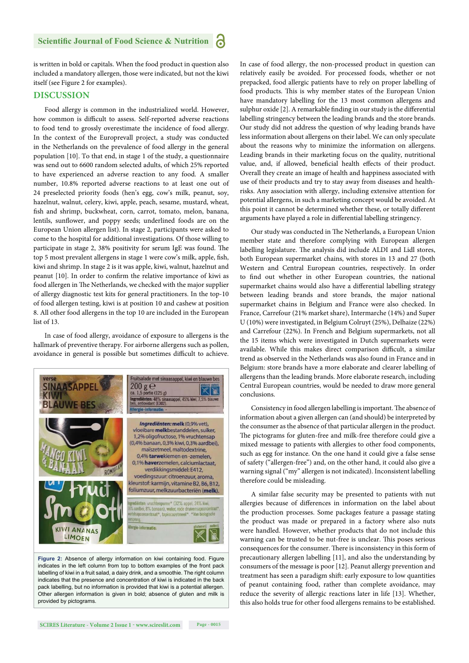#### **Scientific Journal of Food Science & Nutrition** а

is written in bold or capitals. When the food product in question also included a mandatory allergen, those were indicated, but not the kiwi itself (see Figure 2 for examples).

#### **DISCUSSION**

Food allergy is common in the industrialized world. However, how common is difficult to assess. Self-reported adverse reactions to food tend to grossly overestimate the incidence of food allergy. In the context of the Europrevall project, a study was conducted in the Netherlands on the prevalence of food allergy in the general population [10]. To that end, in stage 1 of the study, a questionnaire was send out to 6600 random selected adults, of which 25% reported to have experienced an adverse reaction to any food. A smaller number, 10.8% reported adverse reactions to at least one out of 24 preselected priority foods (hen's egg, cow's milk, peanut, soy, hazelnut, walnut, celery, kiwi, apple, peach, sesame, mustard, wheat, fish and shrimp, buckwheat, corn, carrot, tomato, melon, banana, lentils, sunflower, and poppy seeds; underlined foods are on the European Union allergen list). In stage 2, participants were asked to come to the hospital for additional investigations. Of those willing to participate in stage 2, 38% positivity for serum IgE was found. The top 5 most prevalent allergens in stage 1 were cow's milk, apple, fish, kiwi and shrimp. In stage 2 is it was apple, kiwi, walnut, hazelnut and peanut [10]. In order to confirm the relative importance of kiwi as food allergen in The Netherlands, we checked with the major supplier of allergy diagnostic test kits for general practitioners. In the top-10 of food allergen testing, kiwi is at position 10 and cashew at position 8. All other food allergens in the top 10 are included in the European list of 13.

In case of food allergy, avoidance of exposure to allergens is the hallmark of preventive therapy. For airborne allergens such as pollen, avoidance in general is possible but sometimes difficult to achieve.



**Figure 2:** Absence of allergy information on kiwi containing food. Figure indicates in the left column from top to bottom examples of the front pack labelling of kiwi in a fruit salad, a dairy drink, and a smoothie. The right column indicates that the presence and concentration of kiwi is indicated in the back pack labelling, but no information is provided that kiwi is a potential allergen. Other allergen information is given in bold; absence of gluten and milk is provided by pictograms.

In case of food allergy, the non-processed product in question can relatively easily be avoided. For processed foods, whether or not prepacked, food allergic patients have to rely on proper labelling of food products. This is why member states of the European Union have mandatory labelling for the 13 most common allergens and sulphur oxide [2]. A remarkable finding in our study is the differential labelling stringency between the leading brands and the store brands. Our study did not address the question of why leading brands have less information about allergens on their label. We can only speculate about the reasons why to minimize the information on allergens. Leading brands in their marketing focus on the quality, nutritional value, and, if allowed, beneficial health effects of their product. Overall they create an image of health and happiness associated with use of their products and try to stay away from diseases and healthrisks. Any association with allergy, including extensive attention for potential allergens, in such a marketing concept would be avoided. At this point it cannot be determined whether these, or totally different arguments have played a role in differential labelling stringency.

Our study was conducted in The Netherlands, a European Union member state and therefore complying with European allergen labelling legislature. The analysis did include ALDI and Lidl stores, both European supermarket chains, with stores in 13 and 27 (both Western and Central European countries, respectively. In order to find out whether in other European countries, the national supermarket chains would also have a differential labelling strategy between leading brands and store brands, the major national supermarket chains in Belgium and France were also checked. In France, Carrefour (21% market share), Intermarche (14%) and Super U (10%) were investigated, in Belgium Colruyt (25%), Delhaize (22%) and Carrefour (22%). In French and Belgium supermarkets, not all the 15 items which were investigated in Dutch supermarkets were available. While this makes direct comparison difficult, a similar trend as observed in the Netherlands was also found in France and in Belgium: store brands have a more elaborate and clearer labelling of allergens than the leading brands. More elaborate research, including Central European countries, would be needed to draw more general conclusions.

Consistency in food allergen labelling is important. The absence of information about a given allergen can (and should) be interpreted by the consumer as the absence of that particular allergen in the product. The pictograms for gluten-free and milk-free therefore could give a mixed message to patients with allergies to other food components, such as egg for instance. On the one hand it could give a false sense of safety ("allergen-free") and, on the other hand, it could also give a warning signal ("my" allergen is not indicated). Inconsistent labelling therefore could be misleading.

A similar false security may be presented to patients with nut allergies because of differences in information on the label about the production processes. Some packages feature a passage stating the product was made or prepared in a factory where also nuts were handled. However, whether products that do not include this warning can be trusted to be nut-free is unclear. This poses serious consequences for the consumer. There is inconsistency in this form of precautionary allergen labelling [11], and also the understanding by consumers of the message is poor [12]. Peanut allergy prevention and treatment has seen a paradigm shift: early exposure to low quantities of peanut containing food, rather than complete avoidance, may reduce the severity of allergic reactions later in life [13]. Whether, this also holds true for other food allergens remains to be established.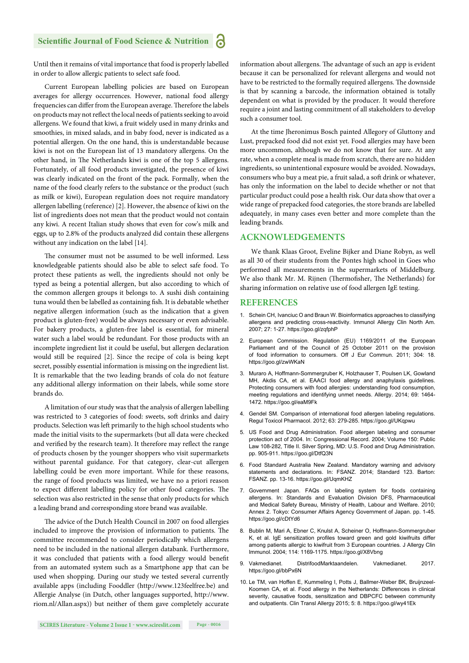Until then it remains of vital importance that food is properly labelled in order to allow allergic patients to select safe food.

Current European labelling policies are based on European averages for allergy occurrences. However, national food allergy frequencies can differ from the European average. Therefore the labels on products may not reflect the local needs of patients seeking to avoid allergens. We found that kiwi, a fruit widely used in many drinks and smoothies, in mixed salads, and in baby food, never is indicated as a potential allergen. On the one hand, this is understandable because kiwi is not on the European list of 13 mandatory allergens. On the other hand, in The Netherlands kiwi is one of the top 5 allergens. Fortunately, of all food products investigated, the presence of kiwi was clearly indicated on the front of the pack. Formally, when the name of the food clearly refers to the substance or the product (such as milk or kiwi), European regulation does not require mandatory allergen labelling (reference) [2]. However, the absence of kiwi on the list of ingredients does not mean that the product would not contain any kiwi. A recent Italian study shows that even for cow's milk and eggs, up to 2.8% of the products analyzed did contain these allergens without any indication on the label [14].

The consumer must not be assumed to be well informed. Less knowledgeable patients should also be able to select safe food. To protect these patients as well, the ingredients should not only be typed as being a potential allergen, but also according to which of the common allergen groups it belongs to. A sushi dish containing tuna would then be labelled as containing fish. It is debatable whether negative allergen information (such as the indication that a given product is gluten-free) would be always necessary or even advisable. For bakery products, a gluten-free label is essential, for mineral water such a label would be redundant. For those products with an incomplete ingredient list it could be useful, but allergen declaration would still be required [2]. Since the recipe of cola is being kept secret, possibly essential information is missing on the ingredient list. It is remarkable that the two leading brands of cola do not feature any additional allergy information on their labels, while some store brands do.

A limitation of our study was that the analysis of allergen labelling was restricted to 3 categories of food: sweets, soft drinks and dairy products. Selection was left primarily to the high school students who made the initial visits to the supermarkets (but all data were checked and verified by the research team). It therefore may reflect the range of products chosen by the younger shoppers who visit supermarkets without parental guidance. For that category, clear-cut allergen labelling could be even more important. While for these reasons, the range of food products was limited, we have no a priori reason to expect different labelling policy for other food categories. The selection was also restricted in the sense that only products for which a leading brand and corresponding store brand was available.

The advice of the Dutch Health Council in 2007 on food allergies included to improve the provision of information to patients. The committee recommended to consider periodically which allergens need to be included in the national allergen databank. Furthermore, it was concluded that patients with a food allergy would benefit from an automated system such as a Smartphone app that can be used when shopping. During our study we tested several currently available apps (including Fooddler (http://www.123feelfree.be) and Allergie Analyse (in Dutch, other languages supported, http://www. riom.nl/Allan.aspx)) but neither of them gave completely accurate information about allergens. The advantage of such an app is evident because it can be personalized for relevant allergens and would not have to be restricted to the formally required allergens. The downside is that by scanning a barcode, the information obtained is totally dependent on what is provided by the producer. It would therefore require a joint and lasting commitment of all stakeholders to develop such a consumer tool.

At the time Jheronimus Bosch painted Allegory of Gluttony and Lust, prepacked food did not exist yet. Food allergies may have been more uncommon, although we do not know that for sure. At any rate, when a complete meal is made from scratch, there are no hidden ingredients, so unintentional exposure would be avoided. Nowadays, consumers who buy a meat pie, a fruit salad, a soft drink or whatever, has only the information on the label to decide whether or not that particular product could pose a health risk. Our data show that over a wide range of prepacked food categories, the store brands are labelled adequately, in many cases even better and more complete than the leading brands.

#### **ACKNOWLEDGEMENTS**

We thank Klaas Groot, Eveline Bijker and Diane Robyn, as well as all 30 of their students from the Pontes high school in Goes who performed all measurements in the supermarkets of Middelburg. We also thank Mr. M. Rijnen (Thermofisher, The Netherlands) for sharing information on relative use of food allergen IgE testing.

#### **REFERENCES**

- 1. Schein CH, Ivanciuc O and Braun W. Bioinformatics approaches to classifying allergens and predicting cross-reactivity. Immunol Allergy Clin North Am. 2007; 27: 1-27. https://goo.gl/zqfphP
- 2. European Commission. Regulation (EU) 1169/2011 of the European Parliament and of the Council of 25 October 2011 on the provision of food information to consumers. Off J Eur Commun. 2011; 304: 18. https://goo.gl/zwWKaN
- 3. Muraro A, Hoffmann-Sommergruber K, Holzhauser T, Poulsen LK, Gowland MH, Akdis CA, et al. EAACI food allergy and anaphylaxis guidelines. Protecting consumers with food allergies: understanding food consumption, meeting regulations and identifying unmet needs. Allergy. 2014; 69: 1464- 1472. https://goo.gl/eaM9Fk
- 4. Gendel SM. Comparison of international food allergen labeling regulations. Regul Toxicol Pharmacol. 2012; 63: 279-285. https://goo.gl/UKqpwu
- 5. US Food and Drug Administration. Food allergen labeling and consumer protection act of 2004. In: Congressional Record. 2004; Volume 150: Public Law 108-282, Title II. Silver Spring, MD: U.S. Food and Drug Administration. pp. 905-911. https://goo.gl/DtfQ3N
- 6. Food Standard Australia New Zealand. Mandatory warning and advisory statements and declarations. In: FSANZ. 2014; Standard 123. Barton: FSANZ. pp. 13-16. https://goo.gl/UqmKHZ
- 7. Government Japan. FAQs on labeling system for foods containing allergens. In: Standards and Evaluation Division DFS, Pharmaceutical and Medical Safety Bureau, Ministry of Health, Labour and Welfare. 2010; Annex 2. Tokyo: Consumer Affairs Agency Government of Japan. pp. 1-45. https://goo.gl/cDtYd6
- 8. Bublin M, Mari A, Ebner C, Knulst A, Scheiner O, Hoffmann-Sommergruber K, et al. IqE sensitization profiles toward green and gold kiwifruits differ among patients allergic to kiwifruit from 3 European countries. J Allergy Clin Immunol. 2004; 114: 1169-1175. https://goo.gl/X8Vbng
- 9. Vakmedianet. DistrifoodMarktaandelen. Vakmedianet. 2017. https://goo.gl/bbPx6N
- 10. Le TM, van Hoffen E, Kummeling I, Potts J, Ballmer-Weber BK, Bruijnzeel-Koomen CA, et al. Food allergy in the Netherlands: Differences in clinical severity, causative foods, sensitization and DBPCFC between community and outpatients. Clin Transl Allergy 2015; 5: 8. https://goo.gl/wy41Ek